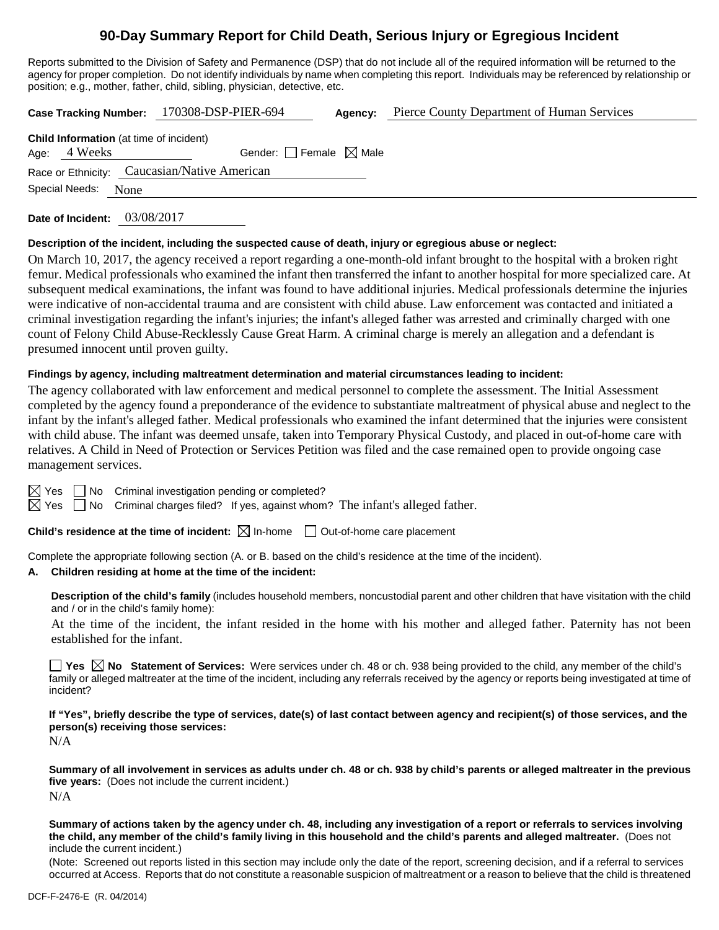## **90-Day Summary Report for Child Death, Serious Injury or Egregious Incident**

Reports submitted to the Division of Safety and Permanence (DSP) that do not include all of the required information will be returned to the agency for proper completion. Do not identify individuals by name when completing this report. Individuals may be referenced by relationship or position; e.g., mother, father, child, sibling, physician, detective, etc.

|                     |                                                | Case Tracking Number: 170308-DSP-PIER-694    | Agency: | Pierce County Department of Human Services |
|---------------------|------------------------------------------------|----------------------------------------------|---------|--------------------------------------------|
| Age: 4 Weeks        | <b>Child Information</b> (at time of incident) | Gender: Female $\boxtimes$ Male              |         |                                            |
|                     |                                                | Race or Ethnicity: Caucasian/Native American |         |                                            |
| Special Needs: None |                                                |                                              |         |                                            |
|                     |                                                |                                              |         |                                            |

**Date of Incident:** 03/08/2017

#### **Description of the incident, including the suspected cause of death, injury or egregious abuse or neglect:**

On March 10, 2017, the agency received a report regarding a one-month-old infant brought to the hospital with a broken right femur. Medical professionals who examined the infant then transferred the infant to another hospital for more specialized care. At subsequent medical examinations, the infant was found to have additional injuries. Medical professionals determine the injuries were indicative of non-accidental trauma and are consistent with child abuse. Law enforcement was contacted and initiated a criminal investigation regarding the infant's injuries; the infant's alleged father was arrested and criminally charged with one count of Felony Child Abuse-Recklessly Cause Great Harm. A criminal charge is merely an allegation and a defendant is presumed innocent until proven guilty.

#### **Findings by agency, including maltreatment determination and material circumstances leading to incident:**

The agency collaborated with law enforcement and medical personnel to complete the assessment. The Initial Assessment completed by the agency found a preponderance of the evidence to substantiate maltreatment of physical abuse and neglect to the infant by the infant's alleged father. Medical professionals who examined the infant determined that the injuries were consistent with child abuse. The infant was deemed unsafe, taken into Temporary Physical Custody, and placed in out-of-home care with relatives. A Child in Need of Protection or Services Petition was filed and the case remained open to provide ongoing case management services.

 $\boxtimes$  Yes  $\Box$  No Criminal investigation pending or completed?

 $\boxtimes$  Yes  $\Box$  No Criminal charges filed? If yes, against whom? The infant's alleged father.

**Child's residence at the time of incident:**  $\boxtimes$  In-home  $\Box$  Out-of-home care placement

Complete the appropriate following section (A. or B. based on the child's residence at the time of the incident).

#### **A. Children residing at home at the time of the incident:**

**Description of the child's family** (includes household members, noncustodial parent and other children that have visitation with the child and / or in the child's family home):

At the time of the incident, the infant resided in the home with his mother and alleged father. Paternity has not been established for the infant.

■ Yes △ No Statement of Services: Were services under ch. 48 or ch. 938 being provided to the child, any member of the child's family or alleged maltreater at the time of the incident, including any referrals received by the agency or reports being investigated at time of incident?

**If "Yes", briefly describe the type of services, date(s) of last contact between agency and recipient(s) of those services, and the person(s) receiving those services:**

N/A

**Summary of all involvement in services as adults under ch. 48 or ch. 938 by child's parents or alleged maltreater in the previous five years:** (Does not include the current incident.) N/A

**Summary of actions taken by the agency under ch. 48, including any investigation of a report or referrals to services involving the child, any member of the child's family living in this household and the child's parents and alleged maltreater.** (Does not include the current incident.)

(Note: Screened out reports listed in this section may include only the date of the report, screening decision, and if a referral to services occurred at Access. Reports that do not constitute a reasonable suspicion of maltreatment or a reason to believe that the child is threatened